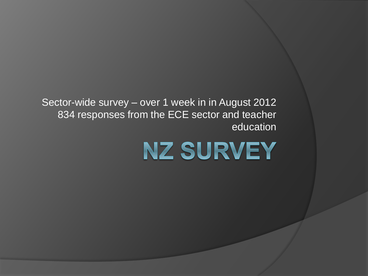Sector-wide survey – over 1 week in in August 2012 834 responses from the ECE sector and teacher education

NZ SURVEY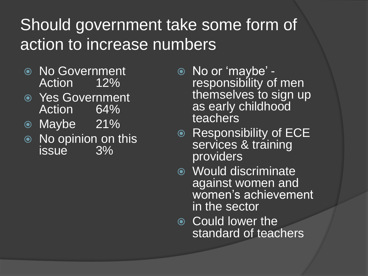### Should government take some form of action to increase numbers

- No Government Action 12%
- Yes Government Action 64%
- Maybe 21%
- **Somo No opinion on this**<br>issue 3% issue **386**
- No or 'maybe' responsibility of men themselves to sign up as early childhood teachers
- Responsibility of ECE services & training providers
- Would discriminate against women and women's achievement in the sector
- Could lower the standard of teachers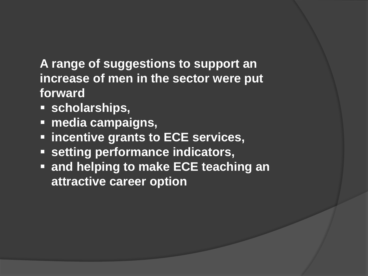**A range of suggestions to support an increase of men in the sector were put forward**

- **scholarships,**
- **media campaigns,**
- **incentive grants to ECE services,**
- **setting performance indicators,**
- **and helping to make ECE teaching an attractive career option**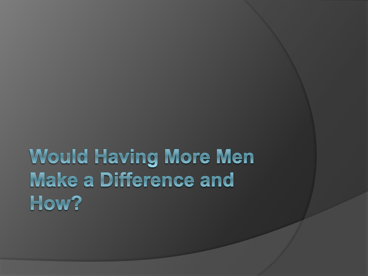### Would Having More Men Make a Difference and How?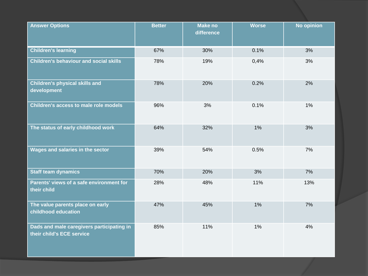| <b>Answer Options</b>                                                  | <b>Better</b> | <b>Make no</b><br>difference | <b>Worse</b> | <b>No opinion</b> |
|------------------------------------------------------------------------|---------------|------------------------------|--------------|-------------------|
| <b>Children's learning</b>                                             | 67%           | 30%                          | 0.1%         | 3%                |
| <b>Children's behaviour and social skills</b>                          | 78%           | 19%                          | 0,4%         | 3%                |
| <b>Children's physical skills and</b><br>development                   | 78%           | 20%                          | 0.2%         | 2%                |
| Children's access to male role models                                  | 96%           | 3%                           | 0.1%         | 1%                |
| The status of early childhood work                                     | 64%           | 32%                          | 1%           | 3%                |
| Wages and salaries in the sector                                       | 39%           | 54%                          | 0.5%         | 7%                |
| Staff team dynamics                                                    | 70%           | 20%                          | 3%           | 7%                |
| Parents' views of a safe environment for<br>their child                | 28%           | 48%                          | 11%          | 13%               |
| The value parents place on early<br>childhood education                | 47%           | 45%                          | 1%           | 7%                |
| Dads and male caregivers participating in<br>their child's ECE service | 85%           | 11%                          | 1%           | 4%                |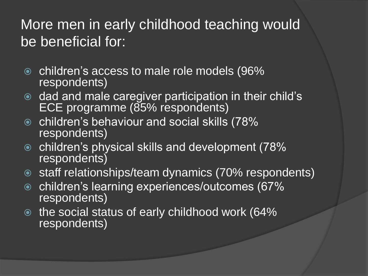### More men in early childhood teaching would be beneficial for:

- **■** children's access to male role models (96% respondents)
- **dad and male caregiver participation in their child's** ECE programme (85% respondents)
- children's behaviour and social skills (78% respondents)
- children's physical skills and development (78% respondents)
- **■** staff relationships/team dynamics (70% respondents)
- children's learning experiences/outcomes (67% respondents)
- the social status of early childhood work (64% respondents)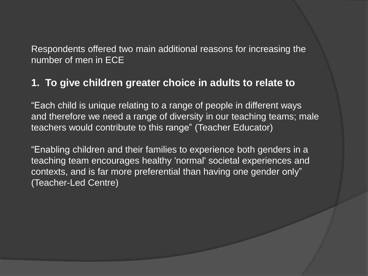Respondents offered two main additional reasons for increasing the number of men in ECE

#### **1. To give children greater choice in adults to relate to**

"Each child is unique relating to a range of people in different ways and therefore we need a range of diversity in our teaching teams; male teachers would contribute to this range" (Teacher Educator)

"Enabling children and their families to experience both genders in a teaching team encourages healthy 'normal' societal experiences and contexts, and is far more preferential than having one gender only" (Teacher-Led Centre)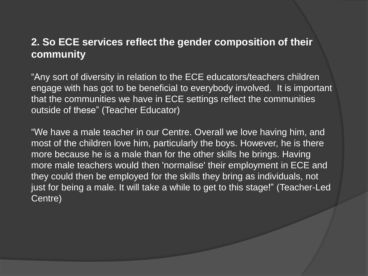### **2. So ECE services reflect the gender composition of their community**

"Any sort of diversity in relation to the ECE educators/teachers children engage with has got to be beneficial to everybody involved. It is important that the communities we have in ECE settings reflect the communities outside of these" (Teacher Educator)

"We have a male teacher in our Centre. Overall we love having him, and most of the children love him, particularly the boys. However, he is there more because he is a male than for the other skills he brings. Having more male teachers would then 'normalise' their employment in ECE and they could then be employed for the skills they bring as individuals, not just for being a male. It will take a while to get to this stage!" (Teacher-Led Centre)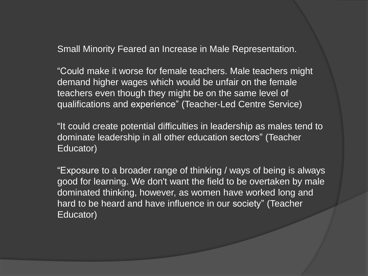Small Minority Feared an Increase in Male Representation.

"Could make it worse for female teachers. Male teachers might demand higher wages which would be unfair on the female teachers even though they might be on the same level of qualifications and experience" (Teacher-Led Centre Service)

"It could create potential difficulties in leadership as males tend to dominate leadership in all other education sectors" (Teacher Educator)

"Exposure to a broader range of thinking / ways of being is always good for learning. We don't want the field to be overtaken by male dominated thinking, however, as women have worked long and hard to be heard and have influence in our society" (Teacher Educator)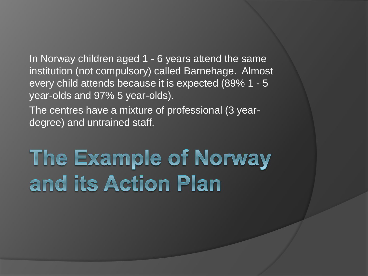In Norway children aged 1 - 6 years attend the same institution (not compulsory) called Barnehage. Almost every child attends because it is expected (89% 1 - 5 year-olds and 97% 5 year-olds).

The centres have a mixture of professional (3 yeardegree) and untrained staff.

# The Example of Norway and its Action Plan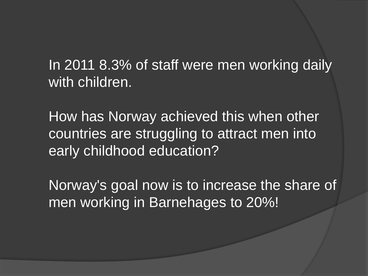In 2011 8.3% of staff were men working daily with children.

How has Norway achieved this when other countries are struggling to attract men into early childhood education?

Norway's goal now is to increase the share of men working in Barnehages to 20%!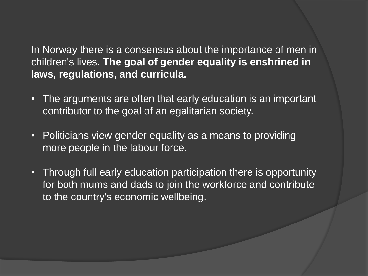In Norway there is a consensus about the importance of men in children's lives. **The goal of gender equality is enshrined in laws, regulations, and curricula.**

- The arguments are often that early education is an important contributor to the goal of an egalitarian society.
- Politicians view gender equality as a means to providing more people in the labour force.
- Through full early education participation there is opportunity for both mums and dads to join the workforce and contribute to the country's economic wellbeing.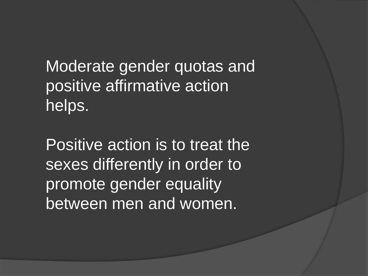Moderate gender quotas and positive affirmative action helps.

Positive action is to treat the sexes differently in order to promote gender equality between men and women.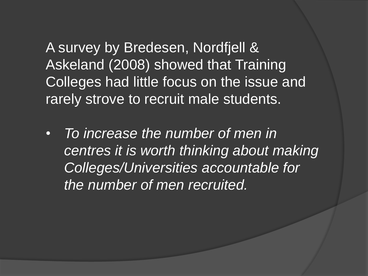A survey by Bredesen, Nordfjell & Askeland (2008) showed that Training Colleges had little focus on the issue and rarely strove to recruit male students.

• *To increase the number of men in centres it is worth thinking about making Colleges/Universities accountable for the number of men recruited.*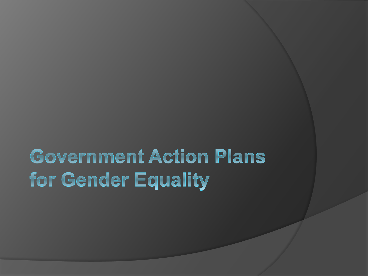## **Government Action Plans** for Gender Equality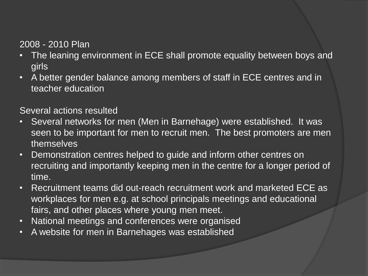#### 2008 - 2010 Plan

- The leaning environment in ECE shall promote equality between boys and girls
- A better gender balance among members of staff in ECE centres and in teacher education

#### Several actions resulted

- Several networks for men (Men in Barnehage) were established. It was seen to be important for men to recruit men. The best promoters are men themselves
- Demonstration centres helped to guide and inform other centres on recruiting and importantly keeping men in the centre for a longer period of time.
- Recruitment teams did out-reach recruitment work and marketed ECE as workplaces for men e.g. at school principals meetings and educational fairs, and other places where young men meet.
- National meetings and conferences were organised
- A website for men in Barnehages was established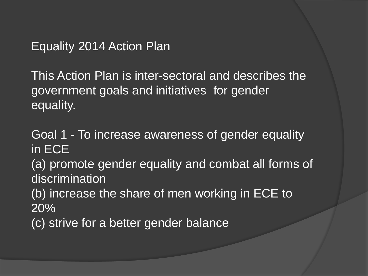Equality 2014 Action Plan

This Action Plan is inter-sectoral and describes the government goals and initiatives for gender equality.

Goal 1 - To increase awareness of gender equality in ECE

(a) promote gender equality and combat all forms of discrimination

(b) increase the share of men working in ECE to 20%

(c) strive for a better gender balance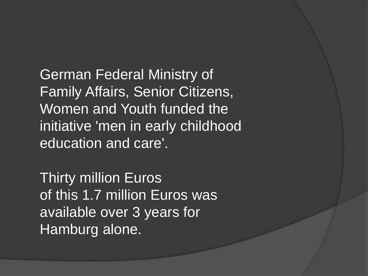German Federal Ministry of Family Affairs, Senior Citizens, Women and Youth funded the initiative 'men in early childhood education and care'.

Thirty million Euros of this 1.7 million Euros was available over 3 years for Hamburg alone.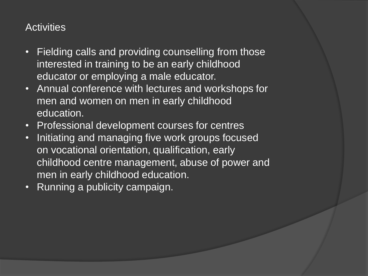### **Activities**

- Fielding calls and providing counselling from those interested in training to be an early childhood educator or employing a male educator.
- Annual conference with lectures and workshops for men and women on men in early childhood education.
- Professional development courses for centres
- Initiating and managing five work groups focused on vocational orientation, qualification, early childhood centre management, abuse of power and men in early childhood education.
- Running a publicity campaign.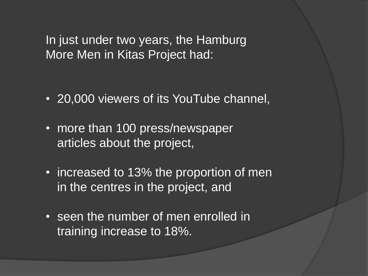In just under two years, the Hamburg More Men in Kitas Project had:

- 20,000 viewers of its YouTube channel,
- more than 100 press/newspaper articles about the project,
- increased to 13% the proportion of men in the centres in the project, and
- seen the number of men enrolled in training increase to 18%.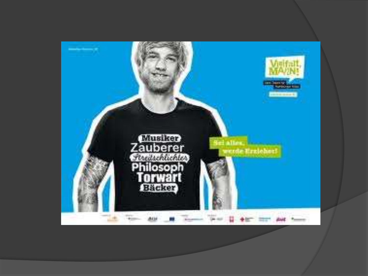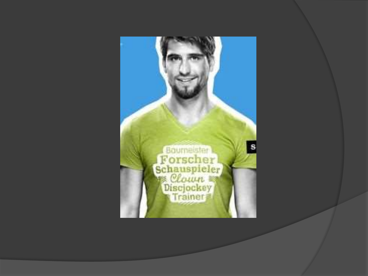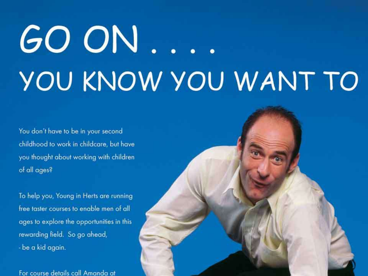# GO ON. YOU KNOW YOU WANT TO

You don't have to be in your second childhood to work in childcare, but have you thought about working with children of all ages?

To help you, Young in Herts are running free taster courses to enable men of all ages to explore the opportunities in this rewarding field. So go ahead, - be a kid again.

For course details call Amanda at